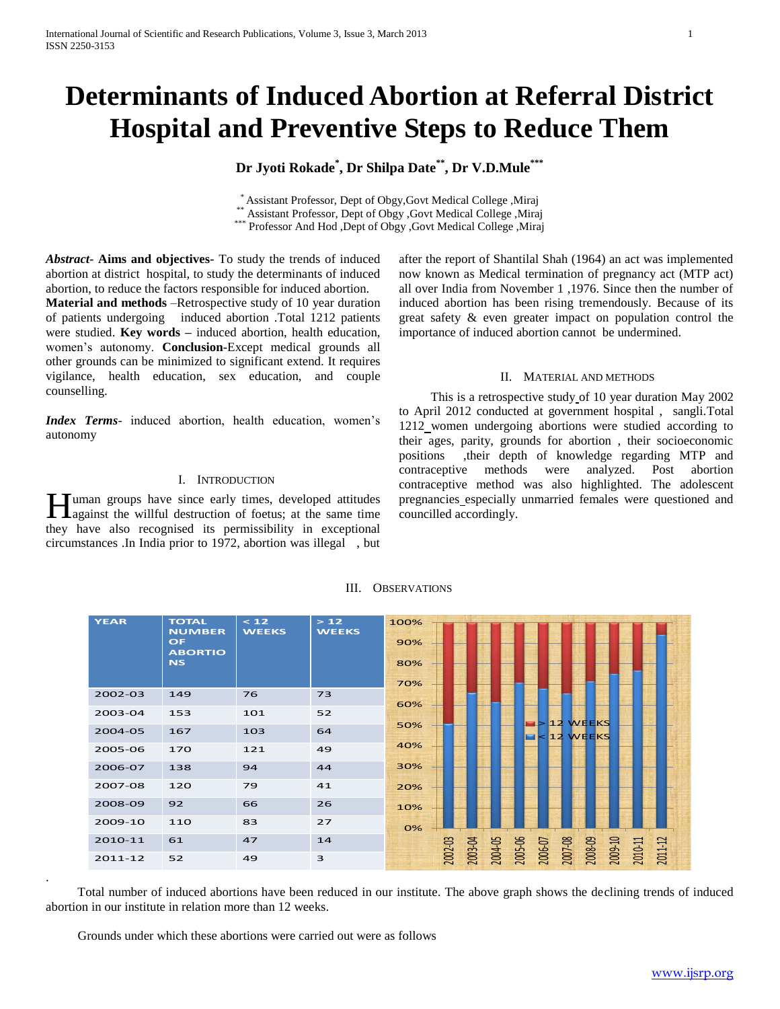# **Determinants of Induced Abortion at Referral District Hospital and Preventive Steps to Reduce Them**

## **Dr Jyoti Rokade\* , Dr Shilpa Date\*\* , Dr V.D.Mule\*\*\***

\* Assistant Professor, Dept of Obgy,Govt Medical College ,Miraj Assistant Professor, Dept of Obgy ,Govt Medical College ,Miraj \*\*\* Professor And Hod ,Dept of Obgy ,Govt Medical College ,Miraj

*Abstract***- Aims and objectives-** To study the trends of induced abortion at district hospital, to study the determinants of induced abortion, to reduce the factors responsible for induced abortion.

**Material and methods** –Retrospective study of 10 year duration of patients undergoing induced abortion .Total 1212 patients were studied. **Key words –** induced abortion, health education, women's autonomy. **Conclusion-**Except medical grounds all other grounds can be minimized to significant extend. It requires vigilance, health education, sex education, and couple counselling.

*Index Terms*- induced abortion, health education, women's autonomy

## I. INTRODUCTION

uman groups have since early times, developed attitudes **H**uman groups have since early times, developed attitudes against the willful destruction of foetus; at the same time they have also recognised its permissibility in exceptional circumstances .In India prior to 1972, abortion was illegal , but

after the report of Shantilal Shah (1964) an act was implemented now known as Medical termination of pregnancy act (MTP act) all over India from November 1 ,1976. Since then the number of induced abortion has been rising tremendously. Because of its great safety & even greater impact on population control the importance of induced abortion cannot be undermined.

## II. MATERIAL AND METHODS

 This is a retrospective study of 10 year duration May 2002 to April 2012 conducted at government hospital , sangli.Total 1212 women undergoing abortions were studied according to their ages, parity, grounds for abortion , their socioeconomic positions ,their depth of knowledge regarding MTP and contraceptive methods were analyzed. Post abortion contraceptive method was also highlighted. The adolescent pregnancies especially unmarried females were questioned and councilled accordingly.

| <b>YEAR</b> | <b>TOTAL</b><br><b>NUMBER</b><br><b>OF</b><br><b>ABORTIO</b><br><b>NS</b> | < 12<br><b>WEEKS</b> | >12<br><b>WEEKS</b> | 100%<br>90%<br>80%<br>70% |         |         |         |         |                    |                                                        |                               |  |         |
|-------------|---------------------------------------------------------------------------|----------------------|---------------------|---------------------------|---------|---------|---------|---------|--------------------|--------------------------------------------------------|-------------------------------|--|---------|
| 2002-03     | 149                                                                       | 76                   | 73                  |                           |         |         |         |         |                    |                                                        |                               |  |         |
| 2003-04     | 153                                                                       | 101                  | 52                  | 60%                       |         |         |         |         |                    |                                                        |                               |  |         |
| 2004-05     | 167                                                                       | 103                  | 64                  | 50%                       |         |         |         |         |                    | $\blacksquare$ > 12 WEEKS<br>$\blacksquare$ < 12 WEEKS |                               |  |         |
| 2005-06     | 170                                                                       | 121                  | 49                  | 40%                       |         |         |         |         |                    |                                                        |                               |  |         |
| 2006-07     | 138                                                                       | 94                   | 44                  | 30%                       |         |         |         |         |                    |                                                        |                               |  |         |
| 2007-08     | 120                                                                       | 79                   | 41                  | 20%                       |         |         |         |         |                    |                                                        |                               |  |         |
| 2008-09     | 92                                                                        | 66                   | 26                  | 10%                       |         |         |         |         |                    |                                                        |                               |  |         |
| 2009-10     | 110                                                                       | 83                   | 27                  | 0%                        |         |         |         |         |                    |                                                        |                               |  |         |
| 2010-11     | 61                                                                        | 47                   | 14                  |                           | 2002-03 | 2003-04 | 2004-05 | 2005-06 | 2006-07<br>2007-08 |                                                        | 2008-09<br>2009-10<br>2010-11 |  | 2011-12 |
| 2011-12     | 52                                                                        | 49                   | 3                   |                           |         |         |         |         |                    |                                                        |                               |  |         |

## III. OBSERVATIONS

 Total number of induced abortions have been reduced in our institute. The above graph shows the declining trends of induced abortion in our institute in relation more than 12 weeks.

Grounds under which these abortions were carried out were as follows

.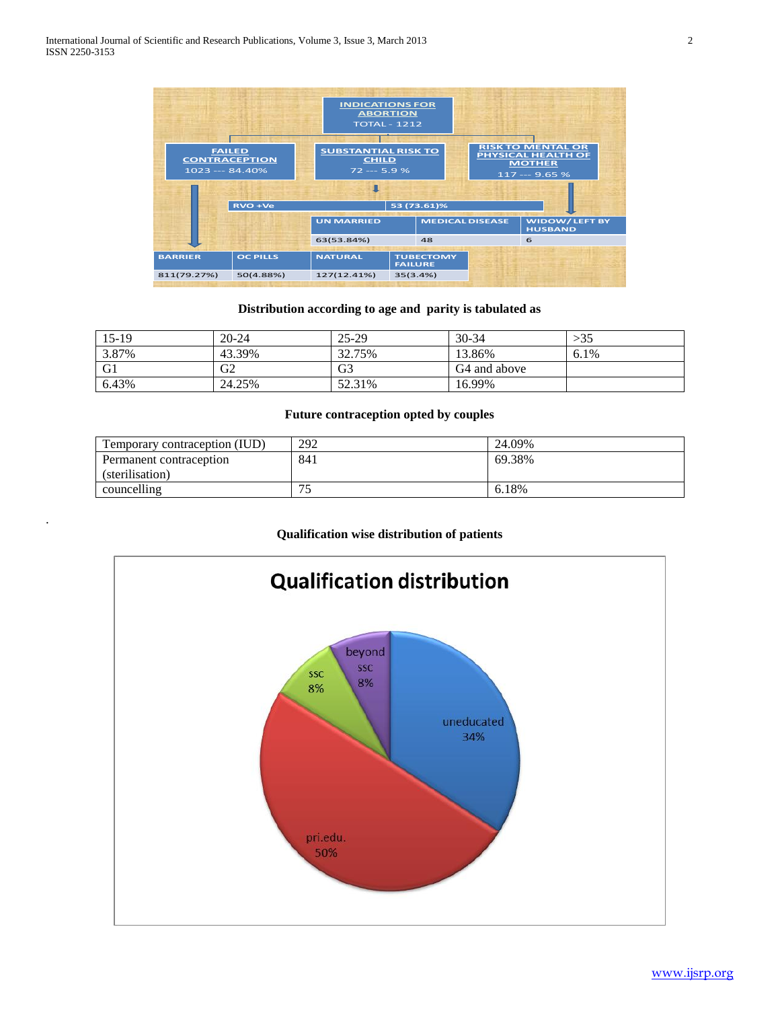.



## **Distribution according to age and parity is tabulated as**

| $15-19$        | $20 - 24$      | 25-29          | $30 - 34$                | >35  |
|----------------|----------------|----------------|--------------------------|------|
| 3.87%          | 43.39%         | 32.75%         | 13.86%                   | 6.1% |
| G <sub>1</sub> | G <sub>2</sub> | G <sub>3</sub> | G <sub>4</sub> and above |      |
| 6.43%          | 24.25%         | 52.31%         | 16.99%                   |      |

## **Future contraception opted by couples**

| Temporary contraception (IUD) | 292     | 24.09% |
|-------------------------------|---------|--------|
| Permanent contraception       | 841     | 69.38% |
| (sterilisation)               |         |        |
| councelling                   | 75<br>- | 6.18%  |

## **Qualification wise distribution of patients**

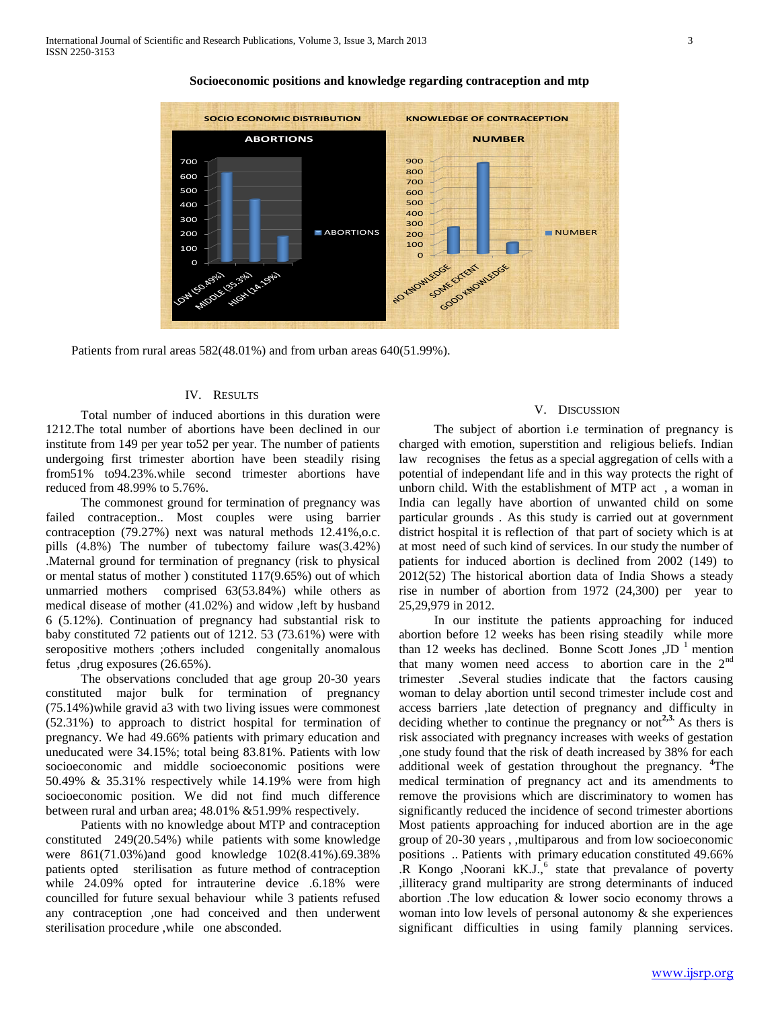

#### **Socioeconomic positions and knowledge regarding contraception and mtp**

Patients from rural areas 582(48.01%) and from urban areas 640(51.99%).

## IV. RESULTS

 Total number of induced abortions in this duration were 1212.The total number of abortions have been declined in our institute from 149 per year to52 per year. The number of patients undergoing first trimester abortion have been steadily rising from51% to94.23%.while second trimester abortions have reduced from 48.99% to 5.76%.

 The commonest ground for termination of pregnancy was failed contraception.. Most couples were using barrier contraception (79.27%) next was natural methods 12.41%,o.c. pills (4.8%) The number of tubectomy failure was(3.42%) .Maternal ground for termination of pregnancy (risk to physical or mental status of mother ) constituted 117(9.65%) out of which unmarried mothers comprised 63(53.84%) while others as medical disease of mother (41.02%) and widow ,left by husband 6 (5.12%). Continuation of pregnancy had substantial risk to baby constituted 72 patients out of 1212. 53 (73.61%) were with seropositive mothers ;others included congenitally anomalous fetus ,drug exposures (26.65%).

 The observations concluded that age group 20-30 years constituted major bulk for termination of pregnancy (75.14%)while gravid a3 with two living issues were commonest (52.31%) to approach to district hospital for termination of pregnancy. We had 49.66% patients with primary education and uneducated were 34.15%; total being 83.81%. Patients with low socioeconomic and middle socioeconomic positions were 50.49% & 35.31% respectively while 14.19% were from high socioeconomic position. We did not find much difference between rural and urban area; 48.01% &51.99% respectively.

 Patients with no knowledge about MTP and contraception constituted 249(20.54%) while patients with some knowledge were 861(71.03%)and good knowledge 102(8.41%).69.38% patients opted sterilisation as future method of contraception while 24.09% opted for intrauterine device .6.18% were councilled for future sexual behaviour while 3 patients refused any contraception ,one had conceived and then underwent sterilisation procedure ,while one absconded.

### V. DISCUSSION

 The subject of abortion i.e termination of pregnancy is charged with emotion, superstition and religious beliefs. Indian law recognises the fetus as a special aggregation of cells with a potential of independant life and in this way protects the right of unborn child. With the establishment of MTP act , a woman in India can legally have abortion of unwanted child on some particular grounds . As this study is carried out at government district hospital it is reflection of that part of society which is at at most need of such kind of services. In our study the number of patients for induced abortion is declined from 2002 (149) to 2012(52) The historical abortion data of India Shows a steady rise in number of abortion from 1972 (24,300) per year to 25,29,979 in 2012.

 In our institute the patients approaching for induced abortion before 12 weeks has been rising steadily while more than 12 weeks has declined. Bonne Scott Jones  $JD<sup>-1</sup>$  mention that many women need access to abortion care in the  $2<sup>nd</sup>$ trimester .Several studies indicate that the factors causing woman to delay abortion until second trimester include cost and access barriers ,late detection of pregnancy and difficulty in deciding whether to continue the pregnancy or not<sup>2,3.</sup> As thers is risk associated with pregnancy increases with weeks of gestation ,one study found that the risk of death increased by 38% for each additional week of gestation throughout the pregnancy. **<sup>4</sup>**The medical termination of pregnancy act and its amendments to remove the provisions which are discriminatory to women has significantly reduced the incidence of second trimester abortions Most patients approaching for induced abortion are in the age group of 20-30 years , ,multiparous and from low socioeconomic positions .. Patients with primary education constituted 49.66%  $\overline{R}$  Kongo ,Noorani kK.J.,<sup>6</sup> state that prevalance of poverty ,illiteracy grand multiparity are strong determinants of induced abortion .The low education & lower socio economy throws a woman into low levels of personal autonomy  $\&$  she experiences significant difficulties in using family planning services.